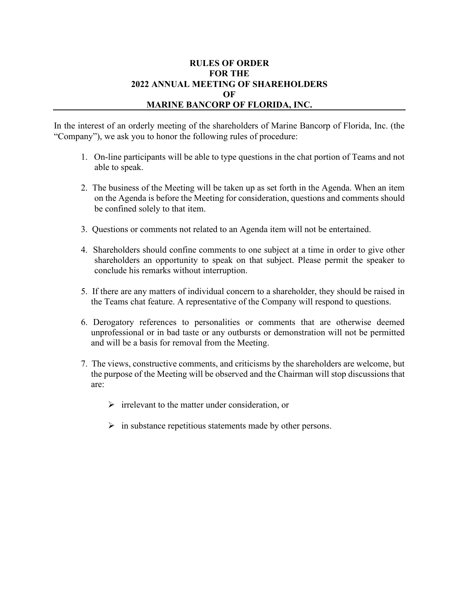## **RULES OF ORDER FOR THE 2022 ANNUAL MEETING OF SHAREHOLDERS OF MARINE BANCORP OF FLORIDA, INC.**

In the interest of an orderly meeting of the shareholders of Marine Bancorp of Florida, Inc. (the "Company"), we ask you to honor the following rules of procedure:

- 1. On-line participants will be able to type questions in the chat portion of Teams and not able to speak.
- 2. The business of the Meeting will be taken up as set forth in the Agenda. When an item on the Agenda is before the Meeting for consideration, questions and comments should be confined solely to that item.
- 3. Questions or comments not related to an Agenda item will not be entertained.
- 4. Shareholders should confine comments to one subject at a time in order to give other shareholders an opportunity to speak on that subject. Please permit the speaker to conclude his remarks without interruption.
- 5. If there are any matters of individual concern to a shareholder, they should be raised in the Teams chat feature. A representative of the Company will respond to questions.
- 6. Derogatory references to personalities or comments that are otherwise deemed unprofessional or in bad taste or any outbursts or demonstration will not be permitted and will be a basis for removal from the Meeting.
- 7. The views, constructive comments, and criticisms by the shareholders are welcome, but the purpose of the Meeting will be observed and the Chairman will stop discussions that are:
	- $\triangleright$  irrelevant to the matter under consideration, or
	- $\triangleright$  in substance repetitious statements made by other persons.